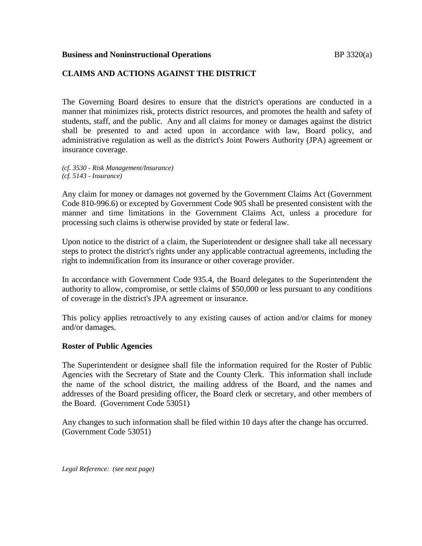### **Business and Noninstructional Operations BP** 3320(a)

## **CLAIMS AND ACTIONS AGAINST THE DISTRICT**

The Governing Board desires to ensure that the district's operations are conducted in a manner that minimizes risk, protects district resources, and promotes the health and safety of students, staff, and the public. Any and all claims for money or damages against the district shall be presented to and acted upon in accordance with law, Board policy, and administrative regulation as well as the district's Joint Powers Authority (JPA) agreement or insurance coverage.

*(cf. 3530 - Risk Management/Insurance) (cf. 5143 - Insurance)*

Any claim for money or damages not governed by the Government Claims Act (Government Code 810-996.6) or excepted by Government Code 905 shall be presented consistent with the manner and time limitations in the Government Claims Act, unless a procedure for processing such claims is otherwise provided by state or federal law.

Upon notice to the district of a claim, the Superintendent or designee shall take all necessary steps to protect the district's rights under any applicable contractual agreements, including the right to indemnification from its insurance or other coverage provider.

In accordance with Government Code 935.4, the Board delegates to the Superintendent the authority to allow, compromise, or settle claims of \$50,000 or less pursuant to any conditions of coverage in the district's JPA agreement or insurance.

This policy applies retroactively to any existing causes of action and/or claims for money and/or damages.

### **Roster of Public Agencies**

The Superintendent or designee shall file the information required for the Roster of Public Agencies with the Secretary of State and the County Clerk. This information shall include the name of the school district, the mailing address of the Board, and the names and addresses of the Board presiding officer, the Board clerk or secretary, and other members of the Board. (Government Code 53051)

Any changes to such information shall be filed within 10 days after the change has occurred. (Government Code 53051)

*Legal Reference: (see next page)*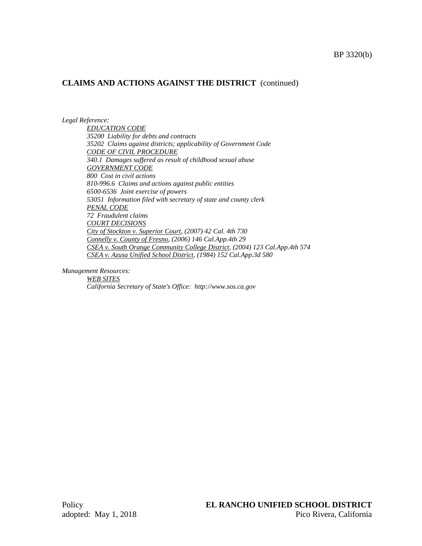#### *Legal Reference:*

*EDUCATION CODE 35200 Liability for debts and contracts 35202 Claims against districts; applicability of Government Code CODE OF CIVIL PROCEDURE 340.1 Damages suffered as result of childhood sexual abuse GOVERNMENT CODE 800 Cost in civil actions 810-996.6 Claims and actions against public entities 6500-6536 Joint exercise of powers 53051 Information filed with secretary of state and county clerk PENAL CODE 72 Fraudulent claims COURT DECISIONS City of Stockton v. Superior Court, (2007) 42 Cal. 4th 730 Connelly v. County of Fresno, (2006) 146 Cal.App.4th 29 CSEA v. South Orange Community College District, (2004) 123 Cal.App.4th 574 CSEA v. Azusa Unified School District, (1984) 152 Cal.App.3d 580*

*Management Resources:*

*WEB SITES California Secretary of State's Office: http://www.sos.ca.gov*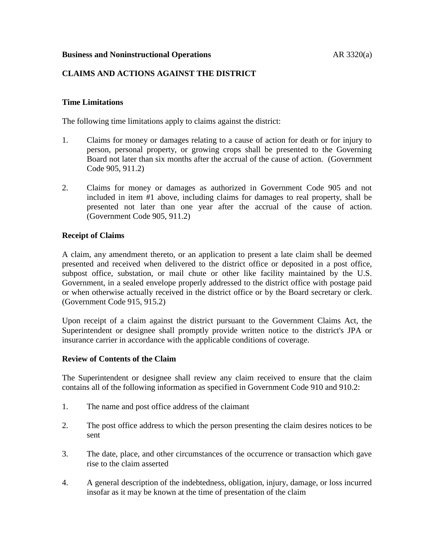## **Business and Noninstructional Operations AR 3320(a)**

## **CLAIMS AND ACTIONS AGAINST THE DISTRICT**

### **Time Limitations**

The following time limitations apply to claims against the district:

- 1. Claims for money or damages relating to a cause of action for death or for injury to person, personal property, or growing crops shall be presented to the Governing Board not later than six months after the accrual of the cause of action. (Government Code 905, 911.2)
- 2. Claims for money or damages as authorized in Government Code 905 and not included in item #1 above, including claims for damages to real property, shall be presented not later than one year after the accrual of the cause of action. (Government Code 905, 911.2)

### **Receipt of Claims**

A claim, any amendment thereto, or an application to present a late claim shall be deemed presented and received when delivered to the district office or deposited in a post office, subpost office, substation, or mail chute or other like facility maintained by the U.S. Government, in a sealed envelope properly addressed to the district office with postage paid or when otherwise actually received in the district office or by the Board secretary or clerk. (Government Code 915, 915.2)

Upon receipt of a claim against the district pursuant to the Government Claims Act, the Superintendent or designee shall promptly provide written notice to the district's JPA or insurance carrier in accordance with the applicable conditions of coverage.

### **Review of Contents of the Claim**

The Superintendent or designee shall review any claim received to ensure that the claim contains all of the following information as specified in Government Code 910 and 910.2:

- 1. The name and post office address of the claimant
- 2. The post office address to which the person presenting the claim desires notices to be sent
- 3. The date, place, and other circumstances of the occurrence or transaction which gave rise to the claim asserted
- 4. A general description of the indebtedness, obligation, injury, damage, or loss incurred insofar as it may be known at the time of presentation of the claim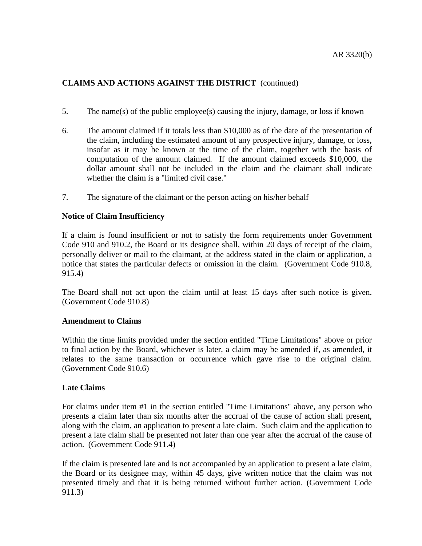- 5. The name(s) of the public employee(s) causing the injury, damage, or loss if known
- 6. The amount claimed if it totals less than \$10,000 as of the date of the presentation of the claim, including the estimated amount of any prospective injury, damage, or loss, insofar as it may be known at the time of the claim, together with the basis of computation of the amount claimed. If the amount claimed exceeds \$10,000, the dollar amount shall not be included in the claim and the claimant shall indicate whether the claim is a "limited civil case."
- 7. The signature of the claimant or the person acting on his/her behalf

## **Notice of Claim Insufficiency**

If a claim is found insufficient or not to satisfy the form requirements under Government Code 910 and 910.2, the Board or its designee shall, within 20 days of receipt of the claim, personally deliver or mail to the claimant, at the address stated in the claim or application, a notice that states the particular defects or omission in the claim. (Government Code 910.8, 915.4)

The Board shall not act upon the claim until at least 15 days after such notice is given. (Government Code 910.8)

### **Amendment to Claims**

Within the time limits provided under the section entitled "Time Limitations" above or prior to final action by the Board, whichever is later, a claim may be amended if, as amended, it relates to the same transaction or occurrence which gave rise to the original claim. (Government Code 910.6)

## **Late Claims**

For claims under item #1 in the section entitled "Time Limitations" above, any person who presents a claim later than six months after the accrual of the cause of action shall present, along with the claim, an application to present a late claim. Such claim and the application to present a late claim shall be presented not later than one year after the accrual of the cause of action. (Government Code 911.4)

If the claim is presented late and is not accompanied by an application to present a late claim, the Board or its designee may, within 45 days, give written notice that the claim was not presented timely and that it is being returned without further action. (Government Code 911.3)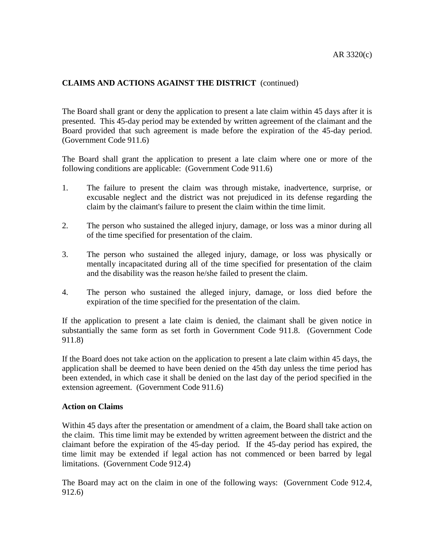The Board shall grant or deny the application to present a late claim within 45 days after it is presented. This 45-day period may be extended by written agreement of the claimant and the Board provided that such agreement is made before the expiration of the 45-day period. (Government Code 911.6)

The Board shall grant the application to present a late claim where one or more of the following conditions are applicable: (Government Code 911.6)

- 1. The failure to present the claim was through mistake, inadvertence, surprise, or excusable neglect and the district was not prejudiced in its defense regarding the claim by the claimant's failure to present the claim within the time limit.
- 2. The person who sustained the alleged injury, damage, or loss was a minor during all of the time specified for presentation of the claim.
- 3. The person who sustained the alleged injury, damage, or loss was physically or mentally incapacitated during all of the time specified for presentation of the claim and the disability was the reason he/she failed to present the claim.
- 4. The person who sustained the alleged injury, damage, or loss died before the expiration of the time specified for the presentation of the claim.

If the application to present a late claim is denied, the claimant shall be given notice in substantially the same form as set forth in Government Code 911.8. (Government Code 911.8)

If the Board does not take action on the application to present a late claim within 45 days, the application shall be deemed to have been denied on the 45th day unless the time period has been extended, in which case it shall be denied on the last day of the period specified in the extension agreement. (Government Code 911.6)

### **Action on Claims**

Within 45 days after the presentation or amendment of a claim, the Board shall take action on the claim. This time limit may be extended by written agreement between the district and the claimant before the expiration of the 45-day period. If the 45-day period has expired, the time limit may be extended if legal action has not commenced or been barred by legal limitations. (Government Code 912.4)

The Board may act on the claim in one of the following ways: (Government Code 912.4, 912.6)